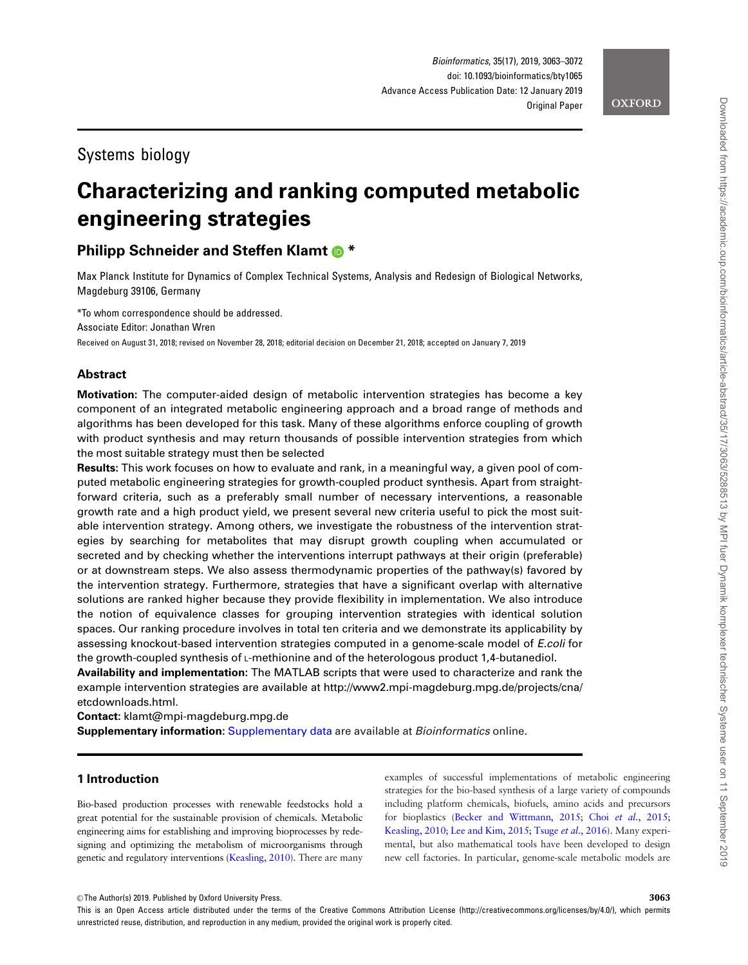# Systems biology

# Characterizing and ranking computed metabolic engineering strategies

# **Philipp Schneider and Steffen Klamt @ \***

Max Planck Institute for Dynamics of Complex Technical Systems, Analysis and Redesign of Biological Networks, Magdeburg 39106, Germany

\*To whom correspondence should be addressed. Associate Editor: Jonathan Wren Received on August 31, 2018; revised on November 28, 2018; editorial decision on December 21, 2018; accepted on January 7, 2019

# Abstract

**Motivation:** The computer-aided design of metabolic intervention strategies has become a key component of an integrated metabolic engineering approach and a broad range of methods and algorithms has been developed for this task. Many of these algorithms enforce coupling of growth with product synthesis and may return thousands of possible intervention strategies from which the most suitable strategy must then be selected

Results: This work focuses on how to evaluate and rank, in a meaningful way, a given pool of computed metabolic engineering strategies for growth-coupled product synthesis. Apart from straightforward criteria, such as a preferably small number of necessary interventions, a reasonable growth rate and a high product yield, we present several new criteria useful to pick the most suitable intervention strategy. Among others, we investigate the robustness of the intervention strategies by searching for metabolites that may disrupt growth coupling when accumulated or secreted and by checking whether the interventions interrupt pathways at their origin (preferable) or at downstream steps. We also assess thermodynamic properties of the pathway(s) favored by the intervention strategy. Furthermore, strategies that have a significant overlap with alternative solutions are ranked higher because they provide flexibility in implementation. We also introduce the notion of equivalence classes for grouping intervention strategies with identical solution spaces. Our ranking procedure involves in total ten criteria and we demonstrate its applicability by assessing knockout-based intervention strategies computed in a genome-scale model of E.coli for the growth-coupled synthesis of L-methionine and of the heterologous product 1,4-butanediol.

Availability and implementation: The MATLAB scripts that were used to characterize and rank the example intervention strategies are available at [http://www2.mpi-magdeburg.mpg.de/projects/cna/](http://www2.mpi-magdeburg.mpg.de/projects/cna/etcdownloads.html) [etcdownloads.html.](http://www2.mpi-magdeburg.mpg.de/projects/cna/etcdownloads.html)

Contact: klamt@mpi-magdeburg.mpg.de

Supplementary information: [Supplementary data](https://academic.oup.com/bioinformatics/article-lookup/doi/10.1093/bioinformatics/bty1065#supplementary-data) are available at Bioinformatics online.

# 1 Introduction

Bio-based production processes with renewable feedstocks hold a great potential for the sustainable provision of chemicals. Metabolic engineering aims for establishing and improving bioprocesses by redesigning and optimizing the metabolism of microorganisms through genetic and regulatory interventions ([Keasling, 2010\)](#page-8-0). There are many examples of successful implementations of metabolic engineering strategies for the bio-based synthesis of a large variety of compounds including platform chemicals, biofuels, amino acids and precursors for bioplastics [\(Becker and Wittmann, 2015](#page-8-0); Choi et al.[, 2015;](#page-8-0) [Keasling, 2010;](#page-8-0) [Lee and Kim, 2015](#page-8-0); Tsuge et al.[, 2016](#page-8-0)). Many experimental, but also mathematical tools have been developed to design new cell factories. In particular, genome-scale metabolic models are

 $\oslash$  The Author(s) 2019. Published by Oxford University Press.  $3063$ 

This is an Open Access article distributed under the terms of the Creative Commons Attribution License (http://creativecommons.org/licenses/by/4.0/), which permits unrestricted reuse, distribution, and reproduction in any medium, provided the original work is properly cited.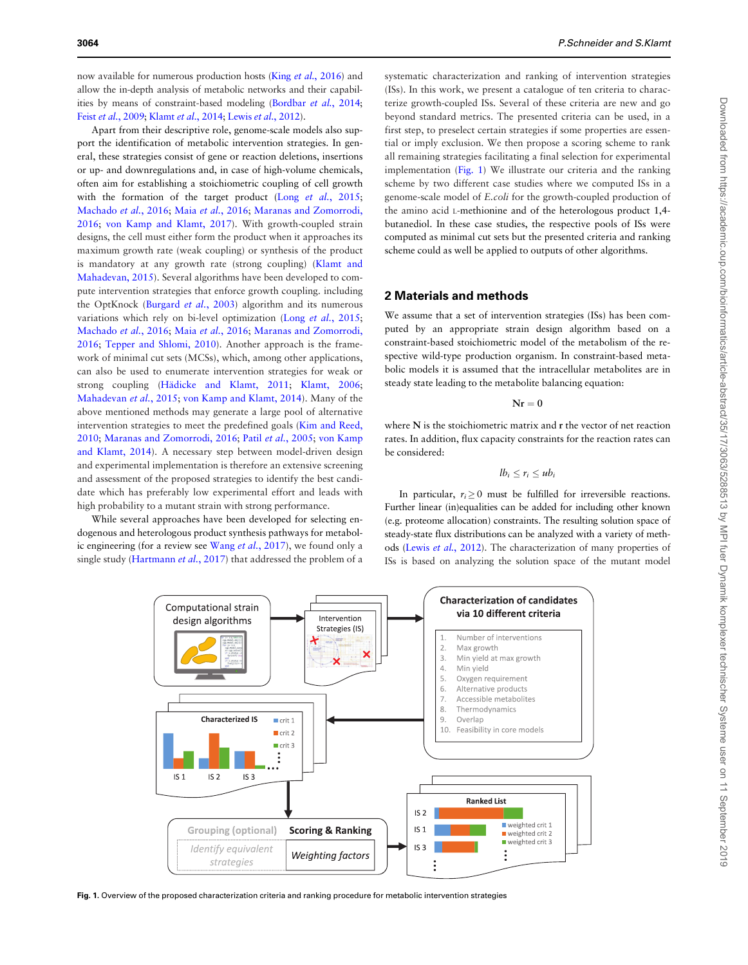now available for numerous production hosts (King et al.[, 2016](#page-8-0)) and allow the in-depth analysis of metabolic networks and their capabilities by means of constraint-based modeling [\(Bordbar](#page-8-0) et al., 2014; Feist et al.[, 2009](#page-8-0); [Klamt](#page-8-0) et al., 2014; Lewis et al.[, 2012\)](#page-8-0).

Apart from their descriptive role, genome-scale models also support the identification of metabolic intervention strategies. In general, these strategies consist of gene or reaction deletions, insertions or up- and downregulations and, in case of high-volume chemicals, often aim for establishing a stoichiometric coupling of cell growth with the formation of the target product (Long et al.[, 2015;](#page-8-0) [Machado](#page-8-0) et al., 2016; Maia et al.[, 2016](#page-8-0); [Maranas and Zomorrodi,](#page-8-0) [2016;](#page-8-0) [von Kamp and Klamt, 2017\)](#page-9-0). With growth-coupled strain designs, the cell must either form the product when it approaches its maximum growth rate (weak coupling) or synthesis of the product is mandatory at any growth rate (strong coupling) ([Klamt and](#page-8-0) [Mahadevan, 2015\)](#page-8-0). Several algorithms have been developed to compute intervention strategies that enforce growth coupling. including the OptKnock ([Burgard](#page-8-0) et al., 2003) algorithm and its numerous variations which rely on bi-level optimization (Long et al.[, 2015;](#page-8-0) [Machado](#page-8-0) et al., 2016; Maia et al.[, 2016](#page-8-0); [Maranas and Zomorrodi,](#page-8-0) [2016;](#page-8-0) [Tepper and Shlomi, 2010\)](#page-8-0). Another approach is the framework of minimal cut sets (MCSs), which, among other applications, can also be used to enumerate intervention strategies for weak or strong coupling (Hädicke and Klamt, 2011; [Klamt, 2006;](#page-8-0) [Mahadevan](#page-8-0) et al., 2015; [von Kamp and Klamt, 2014](#page-8-0)). Many of the above mentioned methods may generate a large pool of alternative intervention strategies to meet the predefined goals [\(Kim and Reed,](#page-8-0) [2010;](#page-8-0) [Maranas and Zomorrodi, 2016](#page-8-0); Patil et al.[, 2005](#page-8-0); [von Kamp](#page-8-0) [and Klamt, 2014\)](#page-8-0). A necessary step between model-driven design and experimental implementation is therefore an extensive screening and assessment of the proposed strategies to identify the best candidate which has preferably low experimental effort and leads with high probability to a mutant strain with strong performance.

While several approaches have been developed for selecting endogenous and heterologous product synthesis pathways for metabol-ic engineering (for a review see Wang et al.[, 2017\)](#page-9-0), we found only a single study ([Hartmann](#page-8-0) et al., 2017) that addressed the problem of a

systematic characterization and ranking of intervention strategies (ISs). In this work, we present a catalogue of ten criteria to characterize growth-coupled ISs. Several of these criteria are new and go beyond standard metrics. The presented criteria can be used, in a first step, to preselect certain strategies if some properties are essential or imply exclusion. We then propose a scoring scheme to rank all remaining strategies facilitating a final selection for experimental implementation (Fig. 1) We illustrate our criteria and the ranking scheme by two different case studies where we computed ISs in a genome-scale model of E.coli for the growth-coupled production of the amino acid L-methionine and of the heterologous product 1,4 butanediol. In these case studies, the respective pools of ISs were computed as minimal cut sets but the presented criteria and ranking scheme could as well be applied to outputs of other algorithms.

# 2 Materials and methods

We assume that a set of intervention strategies (ISs) has been computed by an appropriate strain design algorithm based on a constraint-based stoichiometric model of the metabolism of the respective wild-type production organism. In constraint-based metabolic models it is assumed that the intracellular metabolites are in steady state leading to the metabolite balancing equation:

 $N_r = 0$ 

where N is the stoichiometric matrix and r the vector of net reaction rates. In addition, flux capacity constraints for the reaction rates can be considered:

$$
lb_i \leq r_i \leq ub_i
$$

In particular,  $r_i > 0$  must be fulfilled for irreversible reactions. Further linear (in)equalities can be added for including other known (e.g. proteome allocation) constraints. The resulting solution space of steady-state flux distributions can be analyzed with a variety of methods (Lewis et al.[, 2012](#page-8-0)). The characterization of many properties of ISs is based on analyzing the solution space of the mutant model



Fig. 1. Overview of the proposed characterization criteria and ranking procedure for metabolic intervention strategies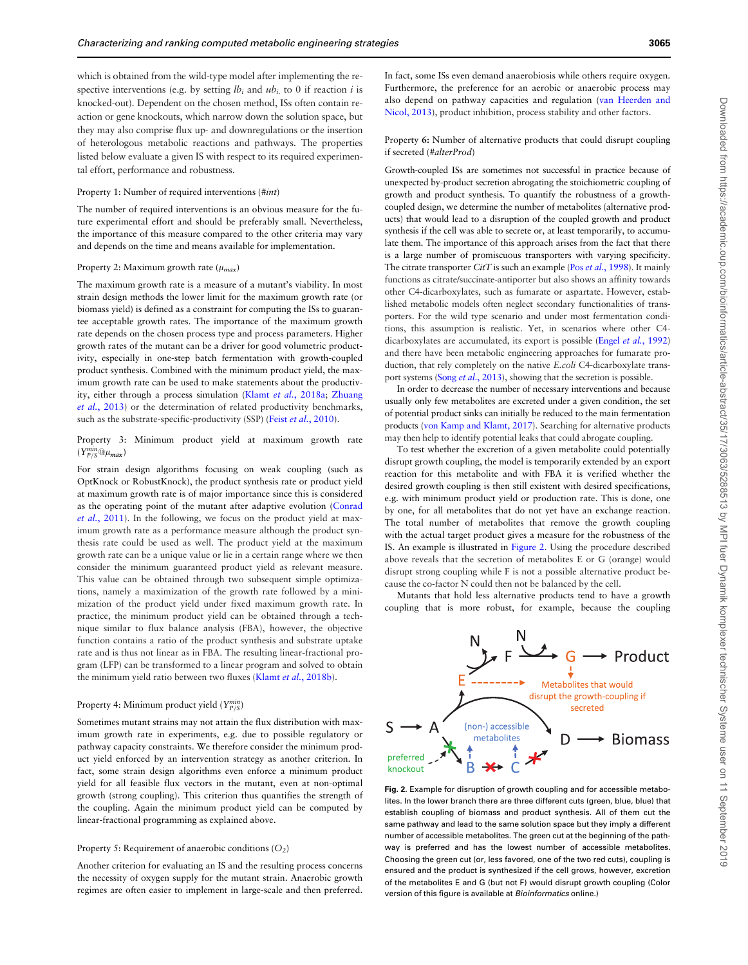<span id="page-2-0"></span>which is obtained from the wild-type model after implementing the respective interventions (e.g. by setting  $lb_i$  and  $ub_i$  to 0 if reaction i is knocked-out). Dependent on the chosen method, ISs often contain reaction or gene knockouts, which narrow down the solution space, but they may also comprise flux up- and downregulations or the insertion of heterologous metabolic reactions and pathways. The properties listed below evaluate a given IS with respect to its required experimental effort, performance and robustness.

#### Property 1: Number of required interventions (#int)

The number of required interventions is an obvious measure for the future experimental effort and should be preferably small. Nevertheless, the importance of this measure compared to the other criteria may vary and depends on the time and means available for implementation.

## Property 2: Maximum growth rate  $(\mu_{max})$

The maximum growth rate is a measure of a mutant's viability. In most strain design methods the lower limit for the maximum growth rate (or biomass yield) is defined as a constraint for computing the ISs to guarantee acceptable growth rates. The importance of the maximum growth rate depends on the chosen process type and process parameters. Higher growth rates of the mutant can be a driver for good volumetric productivity, especially in one-step batch fermentation with growth-coupled product synthesis. Combined with the minimum product yield, the maximum growth rate can be used to make statements about the productivity, either through a process simulation (Klamt et al.[, 2018a;](#page-8-0) [Zhuang](#page-9-0) et al.[, 2013\)](#page-9-0) or the determination of related productivity benchmarks, such as the substrate-specific-productivity (SSP) (Feist et al.[, 2010\)](#page-8-0).

Property 3: Minimum product yield at maximum growth rate  $(Y^{min}_{P/S}@\mu_{max})$ 

For strain design algorithms focusing on weak coupling (such as OptKnock or RobustKnock), the product synthesis rate or product yield at maximum growth rate is of major importance since this is considered as the operating point of the mutant after adaptive evolution ([Conrad](#page-8-0) et al.[, 2011\)](#page-8-0). In the following, we focus on the product yield at maximum growth rate as a performance measure although the product synthesis rate could be used as well. The product yield at the maximum growth rate can be a unique value or lie in a certain range where we then consider the minimum guaranteed product yield as relevant measure. This value can be obtained through two subsequent simple optimizations, namely a maximization of the growth rate followed by a minimization of the product yield under fixed maximum growth rate. In practice, the minimum product yield can be obtained through a technique similar to flux balance analysis (FBA), however, the objective function contains a ratio of the product synthesis and substrate uptake rate and is thus not linear as in FBA. The resulting linear-fractional program (LFP) can be transformed to a linear program and solved to obtain the minimum yield ratio between two fluxes (Klamt et al.[, 2018b\)](#page-8-0).

# Property 4: Minimum product yield ( $Y_{P/S}^{min}$ )

Sometimes mutant strains may not attain the flux distribution with maximum growth rate in experiments, e.g. due to possible regulatory or pathway capacity constraints. We therefore consider the minimum product yield enforced by an intervention strategy as another criterion. In fact, some strain design algorithms even enforce a minimum product yield for all feasible flux vectors in the mutant, even at non-optimal growth (strong coupling). This criterion thus quantifies the strength of the coupling. Again the minimum product yield can be computed by linear-fractional programming as explained above.

#### Property 5: Requirement of anaerobic conditions  $(O_2)$

Another criterion for evaluating an IS and the resulting process concerns the necessity of oxygen supply for the mutant strain. Anaerobic growth regimes are often easier to implement in large-scale and then preferred. In fact, some ISs even demand anaerobiosis while others require oxygen. Furthermore, the preference for an aerobic or anaerobic process may also depend on pathway capacities and regulation ([van Heerden and](#page-8-0) [Nicol, 2013\)](#page-8-0), product inhibition, process stability and other factors.

#### Property 6: Number of alternative products that could disrupt coupling if secreted (#alterProd)

Growth-coupled ISs are sometimes not successful in practice because of unexpected by-product secretion abrogating the stoichiometric coupling of growth and product synthesis. To quantify the robustness of a growthcoupled design, we determine the number of metabolites (alternative products) that would lead to a disruption of the coupled growth and product synthesis if the cell was able to secrete or, at least temporarily, to accumulate them. The importance of this approach arises from the fact that there is a large number of promiscuous transporters with varying specificity. The citrate transporter  $CitT$  is such an example (Pos et al.[, 1998\)](#page-8-0). It mainly functions as citrate/succinate-antiporter but also shows an affinity towards other C4-dicarboxylates, such as fumarate or aspartate. However, established metabolic models often neglect secondary functionalities of transporters. For the wild type scenario and under most fermentation conditions, this assumption is realistic. Yet, in scenarios where other C4- dicarboxylates are accumulated, its export is possible (Engel et al.[, 1992\)](#page-8-0) and there have been metabolic engineering approaches for fumarate production, that rely completely on the native E.coli C4-dicarboxylate trans-port systems (Song et al.[, 2013\)](#page-8-0), showing that the secretion is possible.

In order to decrease the number of necessary interventions and because usually only few metabolites are excreted under a given condition, the set of potential product sinks can initially be reduced to the main fermentation products [\(von Kamp and Klamt, 2017\)](#page-9-0). Searching for alternative products may then help to identify potential leaks that could abrogate coupling.

To test whether the excretion of a given metabolite could potentially disrupt growth coupling, the model is temporarily extended by an export reaction for this metabolite and with FBA it is verified whether the desired growth coupling is then still existent with desired specifications, e.g. with minimum product yield or production rate. This is done, one by one, for all metabolites that do not yet have an exchange reaction. The total number of metabolites that remove the growth coupling with the actual target product gives a measure for the robustness of the IS. An example is illustrated in Figure 2. Using the procedure described above reveals that the secretion of metabolites E or G (orange) would disrupt strong coupling while F is not a possible alternative product because the co-factor N could then not be balanced by the cell.

Mutants that hold less alternative products tend to have a growth coupling that is more robust, for example, because the coupling



Fig. 2. Example for disruption of growth coupling and for accessible metabolites. In the lower branch there are three different cuts (green, blue, blue) that establish coupling of biomass and product synthesis. All of them cut the same pathway and lead to the same solution space but they imply a different number of accessible metabolites. The green cut at the beginning of the pathway is preferred and has the lowest number of accessible metabolites. Choosing the green cut (or, less favored, one of the two red cuts), coupling is ensured and the product is synthesized if the cell grows, however, excretion of the metabolites E and G (but not F) would disrupt growth coupling (Color version of this figure is available at Bioinformatics online.)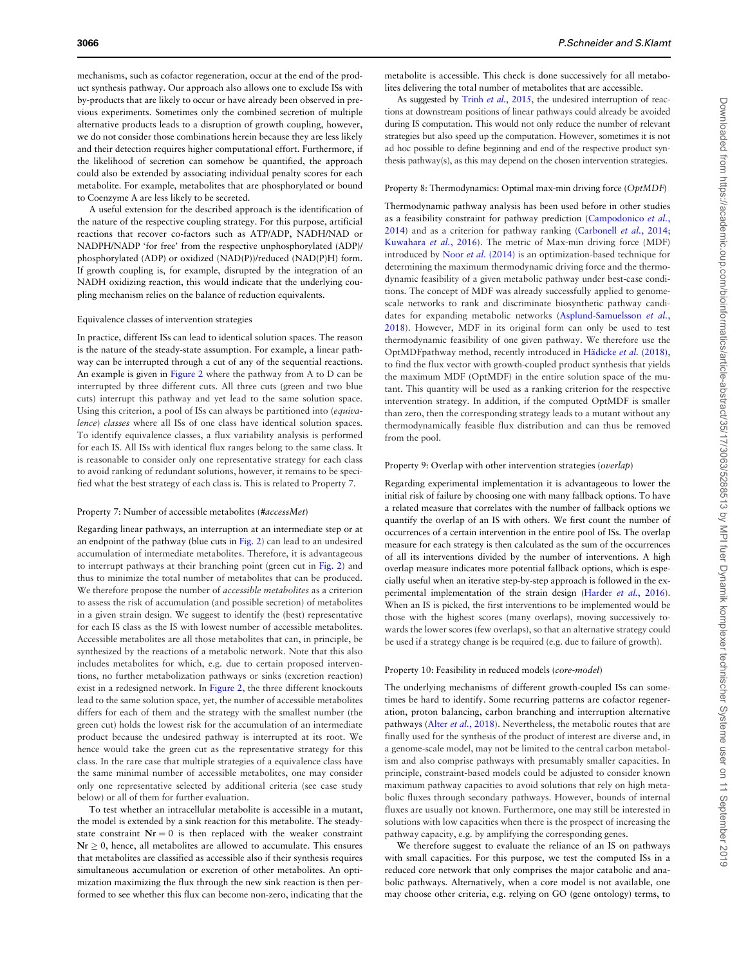mechanisms, such as cofactor regeneration, occur at the end of the product synthesis pathway. Our approach also allows one to exclude ISs with by-products that are likely to occur or have already been observed in previous experiments. Sometimes only the combined secretion of multiple alternative products leads to a disruption of growth coupling, however, we do not consider those combinations herein because they are less likely and their detection requires higher computational effort. Furthermore, if the likelihood of secretion can somehow be quantified, the approach could also be extended by associating individual penalty scores for each metabolite. For example, metabolites that are phosphorylated or bound to Coenzyme A are less likely to be secreted.

A useful extension for the described approach is the identification of the nature of the respective coupling strategy. For this purpose, artificial reactions that recover co-factors such as ATP/ADP, NADH/NAD or NADPH/NADP 'for free' from the respective unphosphorylated (ADP)/ phosphorylated (ADP) or oxidized (NAD(P))/reduced (NAD(P)H) form. If growth coupling is, for example, disrupted by the integration of an NADH oxidizing reaction, this would indicate that the underlying coupling mechanism relies on the balance of reduction equivalents.

#### Equivalence classes of intervention strategies

In practice, different ISs can lead to identical solution spaces. The reason is the nature of the steady-state assumption. For example, a linear pathway can be interrupted through a cut of any of the sequential reactions. An example is given in [Figure 2](#page-2-0) where the pathway from A to D can be interrupted by three different cuts. All three cuts (green and two blue cuts) interrupt this pathway and yet lead to the same solution space. Using this criterion, a pool of ISs can always be partitioned into (equivalence) classes where all ISs of one class have identical solution spaces. To identify equivalence classes, a flux variability analysis is performed for each IS. All ISs with identical flux ranges belong to the same class. It is reasonable to consider only one representative strategy for each class to avoid ranking of redundant solutions, however, it remains to be specified what the best strategy of each class is. This is related to Property 7.

#### Property 7: Number of accessible metabolites (#accessMet)

Regarding linear pathways, an interruption at an intermediate step or at an endpoint of the pathway (blue cuts in [Fig. 2](#page-2-0)) can lead to an undesired accumulation of intermediate metabolites. Therefore, it is advantageous to interrupt pathways at their branching point (green cut in [Fig. 2](#page-2-0)) and thus to minimize the total number of metabolites that can be produced. We therefore propose the number of *accessible metabolites* as a criterion to assess the risk of accumulation (and possible secretion) of metabolites in a given strain design. We suggest to identify the (best) representative for each IS class as the IS with lowest number of accessible metabolites. Accessible metabolites are all those metabolites that can, in principle, be synthesized by the reactions of a metabolic network. Note that this also includes metabolites for which, e.g. due to certain proposed interventions, no further metabolization pathways or sinks (excretion reaction) exist in a redesigned network. In [Figure 2,](#page-2-0) the three different knockouts lead to the same solution space, yet, the number of accessible metabolites differs for each of them and the strategy with the smallest number (the green cut) holds the lowest risk for the accumulation of an intermediate product because the undesired pathway is interrupted at its root. We hence would take the green cut as the representative strategy for this class. In the rare case that multiple strategies of a equivalence class have the same minimal number of accessible metabolites, one may consider only one representative selected by additional criteria (see case study below) or all of them for further evaluation.

To test whether an intracellular metabolite is accessible in a mutant, the model is extended by a sink reaction for this metabolite. The steadystate constraint  $Nr = 0$  is then replaced with the weaker constraint  $Nr \geq 0$ , hence, all metabolites are allowed to accumulate. This ensures that metabolites are classified as accessible also if their synthesis requires simultaneous accumulation or excretion of other metabolites. An optimization maximizing the flux through the new sink reaction is then performed to see whether this flux can become non-zero, indicating that the

metabolite is accessible. This check is done successively for all metabolites delivering the total number of metabolites that are accessible.

As suggested by Trinh et al.[, 2015](#page-8-0), the undesired interruption of reactions at downstream positions of linear pathways could already be avoided during IS computation. This would not only reduce the number of relevant strategies but also speed up the computation. However, sometimes it is not ad hoc possible to define beginning and end of the respective product synthesis pathway(s), as this may depend on the chosen intervention strategies.

#### Property 8: Thermodynamics: Optimal max-min driving force (OptMDF)

Thermodynamic pathway analysis has been used before in other studies as a feasibility constraint for pathway prediction ([Campodonico](#page-8-0) et al., [2014\)](#page-8-0) and as a criterion for pathway ranking [\(Carbonell](#page-8-0) et al., 2014; [Kuwahara](#page-8-0) et al., 2016). The metric of Max-min driving force (MDF) introduced by Noor et al. [\(2014\)](#page-8-0) is an optimization-based technique for determining the maximum thermodynamic driving force and the thermodynamic feasibility of a given metabolic pathway under best-case conditions. The concept of MDF was already successfully applied to genomescale networks to rank and discriminate biosynthetic pathway candi-dates for expanding metabolic networks ([Asplund-Samuelsson](#page-8-0) et al., [2018\)](#page-8-0). However, MDF in its original form can only be used to test thermodynamic feasibility of one given pathway. We therefore use the OptMDFpathway method, recently introduced in Hädicke et al. (2018), to find the flux vector with growth-coupled product synthesis that yields the maximum MDF (OptMDF) in the entire solution space of the mutant. This quantity will be used as a ranking criterion for the respective intervention strategy. In addition, if the computed OptMDF is smaller than zero, then the corresponding strategy leads to a mutant without any thermodynamically feasible flux distribution and can thus be removed from the pool.

#### Property 9: Overlap with other intervention strategies (overlap)

Regarding experimental implementation it is advantageous to lower the initial risk of failure by choosing one with many fallback options. To have a related measure that correlates with the number of fallback options we quantify the overlap of an IS with others. We first count the number of occurrences of a certain intervention in the entire pool of ISs. The overlap measure for each strategy is then calculated as the sum of the occurrences of all its interventions divided by the number of interventions. A high overlap measure indicates more potential fallback options, which is especially useful when an iterative step-by-step approach is followed in the ex-perimental implementation of the strain design [\(Harder](#page-8-0) et al., 2016). When an IS is picked, the first interventions to be implemented would be those with the highest scores (many overlaps), moving successively towards the lower scores (few overlaps), so that an alternative strategy could be used if a strategy change is be required (e.g. due to failure of growth).

#### Property 10: Feasibility in reduced models (core-model)

The underlying mechanisms of different growth-coupled ISs can sometimes be hard to identify. Some recurring patterns are cofactor regeneration, proton balancing, carbon branching and interruption alternative pathways (Alter et al.[, 2018](#page-7-0)). Nevertheless, the metabolic routes that are finally used for the synthesis of the product of interest are diverse and, in a genome-scale model, may not be limited to the central carbon metabolism and also comprise pathways with presumably smaller capacities. In principle, constraint-based models could be adjusted to consider known maximum pathway capacities to avoid solutions that rely on high metabolic fluxes through secondary pathways. However, bounds of internal fluxes are usually not known. Furthermore, one may still be interested in solutions with low capacities when there is the prospect of increasing the pathway capacity, e.g. by amplifying the corresponding genes.

We therefore suggest to evaluate the reliance of an IS on pathways with small capacities. For this purpose, we test the computed ISs in a reduced core network that only comprises the major catabolic and anabolic pathways. Alternatively, when a core model is not available, one may choose other criteria, e.g. relying on GO (gene ontology) terms, to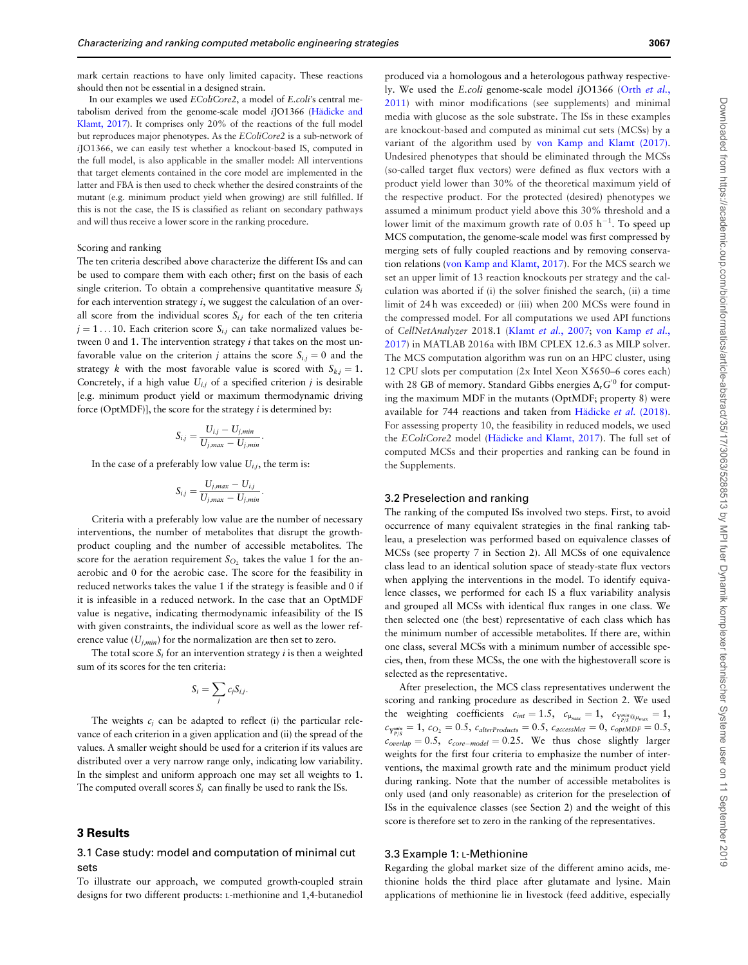mark certain reactions to have only limited capacity. These reactions should then not be essential in a designed strain.

In our examples we used EColiCore2, a model of E.coli's central metabolism derived from the genome-scale model iJO1366 (Hädicke and [Klamt, 2017\)](#page-8-0). It comprises only 20% of the reactions of the full model but reproduces major phenotypes. As the EColiCore2 is a sub-network of iJO1366, we can easily test whether a knockout-based IS, computed in the full model, is also applicable in the smaller model: All interventions that target elements contained in the core model are implemented in the latter and FBA is then used to check whether the desired constraints of the mutant (e.g. minimum product yield when growing) are still fulfilled. If this is not the case, the IS is classified as reliant on secondary pathways and will thus receive a lower score in the ranking procedure.

#### Scoring and ranking

The ten criteria described above characterize the different ISs and can be used to compare them with each other; first on the basis of each single criterion. To obtain a comprehensive quantitative measure  $S_i$ for each intervention strategy  $i$ , we suggest the calculation of an overall score from the individual scores  $S_{i,j}$  for each of the ten criteria  $j = 1 \dots 10$ . Each criterion score  $S_{i,j}$  can take normalized values between 0 and 1. The intervention strategy  $i$  that takes on the most unfavorable value on the criterion *j* attains the score  $S_{i,j} = 0$  and the strategy k with the most favorable value is scored with  $S_{k,i} = 1$ . Concretely, if a high value  $U_{i,j}$  of a specified criterion j is desirable [e.g. minimum product yield or maximum thermodynamic driving force (OptMDF)], the score for the strategy  $i$  is determined by:

$$
S_{i,j} = \frac{U_{i,j} - U_{j,min}}{U_{j,max} - U_{j,min}}
$$

:

In the case of a preferably low value  $U_{i,j}$ , the term is:

$$
S_{i,j} = \frac{U_{j,max} - U_{i,j}}{U_{j,max} - U_{j,min}}.
$$

Criteria with a preferably low value are the number of necessary interventions, the number of metabolites that disrupt the growthproduct coupling and the number of accessible metabolites. The score for the aeration requirement  $S_{O_2}$  takes the value 1 for the anaerobic and 0 for the aerobic case. The score for the feasibility in reduced networks takes the value 1 if the strategy is feasible and 0 if it is infeasible in a reduced network. In the case that an OptMDF value is negative, indicating thermodynamic infeasibility of the IS with given constraints, the individual score as well as the lower reference value  $(U_{i,min})$  for the normalization are then set to zero.

The total score  $S_i$  for an intervention strategy  $i$  is then a weighted sum of its scores for the ten criteria:

$$
S_i = \sum_j c_j S_{i,j}.
$$

The weights  $c_i$  can be adapted to reflect (i) the particular relevance of each criterion in a given application and (ii) the spread of the values. A smaller weight should be used for a criterion if its values are distributed over a very narrow range only, indicating low variability. In the simplest and uniform approach one may set all weights to 1. The computed overall scores  $S_i$  can finally be used to rank the ISs.

## 3 Results

# 3.1 Case study: model and computation of minimal cut sets

To illustrate our approach, we computed growth-coupled strain designs for two different products: L-methionine and 1,4-butanediol

produced via a homologous and a heterologous pathway respectively. We used the E.coli genome-scale model iJO1366 (Orth [et al.](#page-8-0), [2011\)](#page-8-0) with minor modifications (see supplements) and minimal media with glucose as the sole substrate. The ISs in these examples are knockout-based and computed as minimal cut sets (MCSs) by a variant of the algorithm used by [von Kamp and Klamt \(2017\).](#page-9-0) Undesired phenotypes that should be eliminated through the MCSs (so-called target flux vectors) were defined as flux vectors with a product yield lower than 30% of the theoretical maximum yield of the respective product. For the protected (desired) phenotypes we assumed a minimum product yield above this 30% threshold and a lower limit of the maximum growth rate of 0.05  $h^{-1}$ . To speed up MCS computation, the genome-scale model was first compressed by merging sets of fully coupled reactions and by removing conservation relations [\(von Kamp and Klamt, 2017\)](#page-9-0). For the MCS search we set an upper limit of 13 reaction knockouts per strategy and the calculation was aborted if (i) the solver finished the search, (ii) a time limit of 24 h was exceeded) or (iii) when 200 MCSs were found in the compressed model. For all computations we used API functions of CellNetAnalyzer 2018.1 (Klamt et al.[, 2007;](#page-8-0) [von Kamp](#page-8-0) et al., [2017\)](#page-8-0) in MATLAB 2016a with IBM CPLEX 12.6.3 as MILP solver. The MCS computation algorithm was run on an HPC cluster, using 12 CPU slots per computation (2x Intel Xeon X5650–6 cores each) with 28 GB of memory. Standard Gibbs energies  $\Delta_{r}G^{'0}$  for computing the maximum MDF in the mutants (OptMDF; property 8) were available for 744 reactions and taken from Hädicke et al. (2018). For assessing property 10, the feasibility in reduced models, we used the EColiCore2 model (Hädicke and Klamt, 2017). The full set of computed MCSs and their properties and ranking can be found in the Supplements.

# 3.2 Preselection and ranking

The ranking of the computed ISs involved two steps. First, to avoid occurrence of many equivalent strategies in the final ranking tableau, a preselection was performed based on equivalence classes of MCSs (see property 7 in Section 2). All MCSs of one equivalence class lead to an identical solution space of steady-state flux vectors when applying the interventions in the model. To identify equivalence classes, we performed for each IS a flux variability analysis and grouped all MCSs with identical flux ranges in one class. We then selected one (the best) representative of each class which has the minimum number of accessible metabolites. If there are, within one class, several MCSs with a minimum number of accessible species, then, from these MCSs, the one with the highestoverall score is selected as the representative.

After preselection, the MCS class representatives underwent the scoring and ranking procedure as described in Section 2. We used the weighting coefficients  $c_{int} = 1.5$ ,  $c_{\mu_{max}} = 1$ ,  $c_{Y_{P/S}^{min} \oplus \mu_{max}} = 1$ ,  $c_{Y_{P/S}^{min}} = 1, c_{O_2} = 0.5, c_{alterProducts} = 0.5, c_{accessMet} = 0, c_{optMDF} = 0.5,$  $C_{\text{overlap}} = 0.5$ ,  $C_{\text{core-model}} = 0.25$ . We thus chose slightly larger weights for the first four criteria to emphasize the number of interventions, the maximal growth rate and the minimum product yield during ranking. Note that the number of accessible metabolites is only used (and only reasonable) as criterion for the preselection of ISs in the equivalence classes (see Section 2) and the weight of this score is therefore set to zero in the ranking of the representatives.

#### 3.3 Example 1: L-Methionine

Regarding the global market size of the different amino acids, methionine holds the third place after glutamate and lysine. Main applications of methionine lie in livestock (feed additive, especially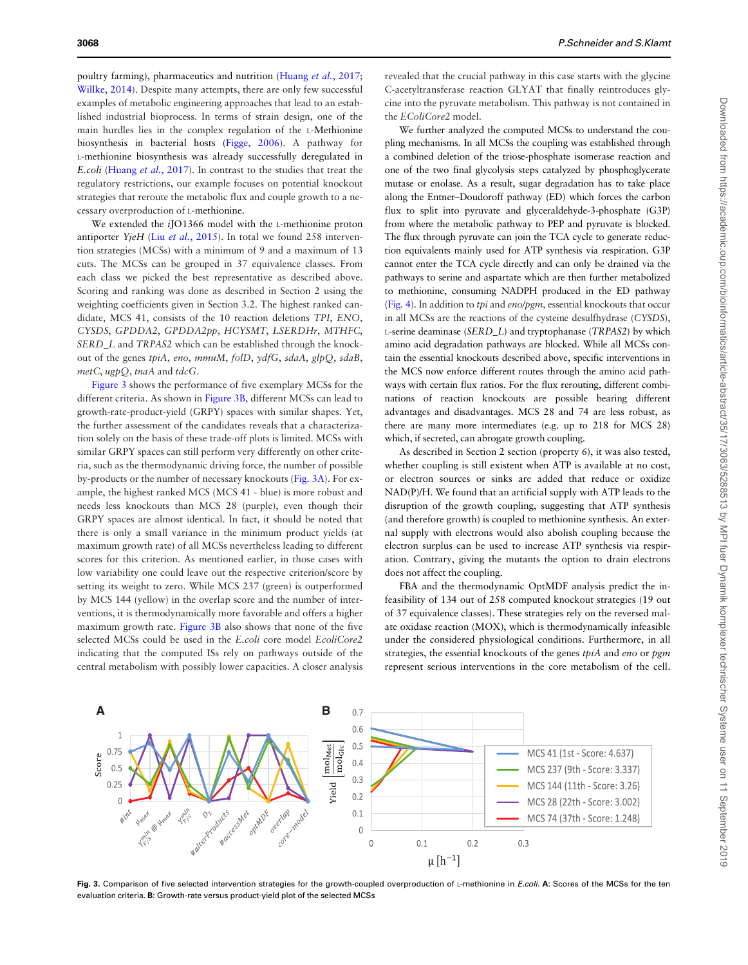poultry farming), pharmaceutics and nutrition ([Huang](#page-8-0) et al., 2017; [Willke, 2014](#page-9-0)). Despite many attempts, there are only few successful examples of metabolic engineering approaches that lead to an established industrial bioprocess. In terms of strain design, one of the main hurdles lies in the complex regulation of the L-Methionine biosynthesis in bacterial hosts ([Figge, 2006\)](#page-8-0). A pathway for L-methionine biosynthesis was already successfully deregulated in E.coli [\(Huang](#page-8-0) et al., 2017). In contrast to the studies that treat the regulatory restrictions, our example focuses on potential knockout strategies that reroute the metabolic flux and couple growth to a necessary overproduction of L-methionine.

We extended the *i*JO1366 model with the L-methionine proton antiporter YjeH (Liu et al.[, 2015](#page-8-0)). In total we found 258 intervention strategies (MCSs) with a minimum of 9 and a maximum of 13 cuts. The MCSs can be grouped in 37 equivalence classes. From each class we picked the best representative as described above. Scoring and ranking was done as described in Section 2 using the weighting coefficients given in Section 3.2. The highest ranked candidate, MCS 41, consists of the 10 reaction deletions TPI, ENO, CYSDS, GPDDA2, GPDDA2pp, HCYSMT, LSERDHr, MTHFC, SERD\_L and TRPAS2 which can be established through the knockout of the genes tpiA, eno, mmuM, folD, ydfG, sdaA, glpQ, sdaB, metC, ugpQ, tnaA and tdcG.

Figure 3 shows the performance of five exemplary MCSs for the different criteria. As shown in Figure 3B, different MCSs can lead to growth-rate-product-yield (GRPY) spaces with similar shapes. Yet, the further assessment of the candidates reveals that a characterization solely on the basis of these trade-off plots is limited. MCSs with similar GRPY spaces can still perform very differently on other criteria, such as the thermodynamic driving force, the number of possible by-products or the number of necessary knockouts (Fig. 3A). For example, the highest ranked MCS (MCS 41 - blue) is more robust and needs less knockouts than MCS 28 (purple), even though their GRPY spaces are almost identical. In fact, it should be noted that there is only a small variance in the minimum product yields (at maximum growth rate) of all MCSs nevertheless leading to different scores for this criterion. As mentioned earlier, in those cases with low variability one could leave out the respective criterion/score by setting its weight to zero. While MCS 237 (green) is outperformed by MCS 144 (yellow) in the overlap score and the number of interventions, it is thermodynamically more favorable and offers a higher maximum growth rate. Figure 3B also shows that none of the five selected MCSs could be used in the E.coli core model EcoliCore2 indicating that the computed ISs rely on pathways outside of the central metabolism with possibly lower capacities. A closer analysis revealed that the crucial pathway in this case starts with the glycine C-acetyltransferase reaction GLYAT that finally reintroduces glycine into the pyruvate metabolism. This pathway is not contained in the EColiCore2 model.

We further analyzed the computed MCSs to understand the coupling mechanisms. In all MCSs the coupling was established through a combined deletion of the triose-phosphate isomerase reaction and one of the two final glycolysis steps catalyzed by phosphoglycerate mutase or enolase. As a result, sugar degradation has to take place along the Entner–Doudoroff pathway (ED) which forces the carbon flux to split into pyruvate and glyceraldehyde-3-phosphate (G3P) from where the metabolic pathway to PEP and pyruvate is blocked. The flux through pyruvate can join the TCA cycle to generate reduction equivalents mainly used for ATP synthesis via respiration. G3P cannot enter the TCA cycle directly and can only be drained via the pathways to serine and aspartate which are then further metabolized to methionine, consuming NADPH produced in the ED pathway ([Fig. 4](#page-6-0)). In addition to tpi and eno/pgm, essential knockouts that occur in all MCSs are the reactions of the cysteine desulfhydrase (CYSDS), L-serine deaminase (SERD\_L) and tryptophanase (TRPAS2) by which amino acid degradation pathways are blocked. While all MCSs contain the essential knockouts described above, specific interventions in the MCS now enforce different routes through the amino acid pathways with certain flux ratios. For the flux rerouting, different combinations of reaction knockouts are possible bearing different advantages and disadvantages. MCS 28 and 74 are less robust, as there are many more intermediates (e.g. up to 218 for MCS 28) which, if secreted, can abrogate growth coupling.

As described in Section 2 section (property 6), it was also tested, whether coupling is still existent when ATP is available at no cost, or electron sources or sinks are added that reduce or oxidize NAD(P)/H. We found that an artificial supply with ATP leads to the disruption of the growth coupling, suggesting that ATP synthesis (and therefore growth) is coupled to methionine synthesis. An external supply with electrons would also abolish coupling because the electron surplus can be used to increase ATP synthesis via respiration. Contrary, giving the mutants the option to drain electrons does not affect the coupling.

FBA and the thermodynamic OptMDF analysis predict the infeasibility of 134 out of 258 computed knockout strategies (19 out of 37 equivalence classes). These strategies rely on the reversed malate oxidase reaction (MOX), which is thermodynamically infeasible under the considered physiological conditions. Furthermore, in all strategies, the essential knockouts of the genes tpiA and eno or pgm represent serious interventions in the core metabolism of the cell.



Fig. 3. Comparison of five selected intervention strategies for the growth-coupled overproduction of L-methionine in E.coli. A: Scores of the MCSs for the ten evaluation criteria. B: Growth-rate versus product-yield plot of the selected MCSs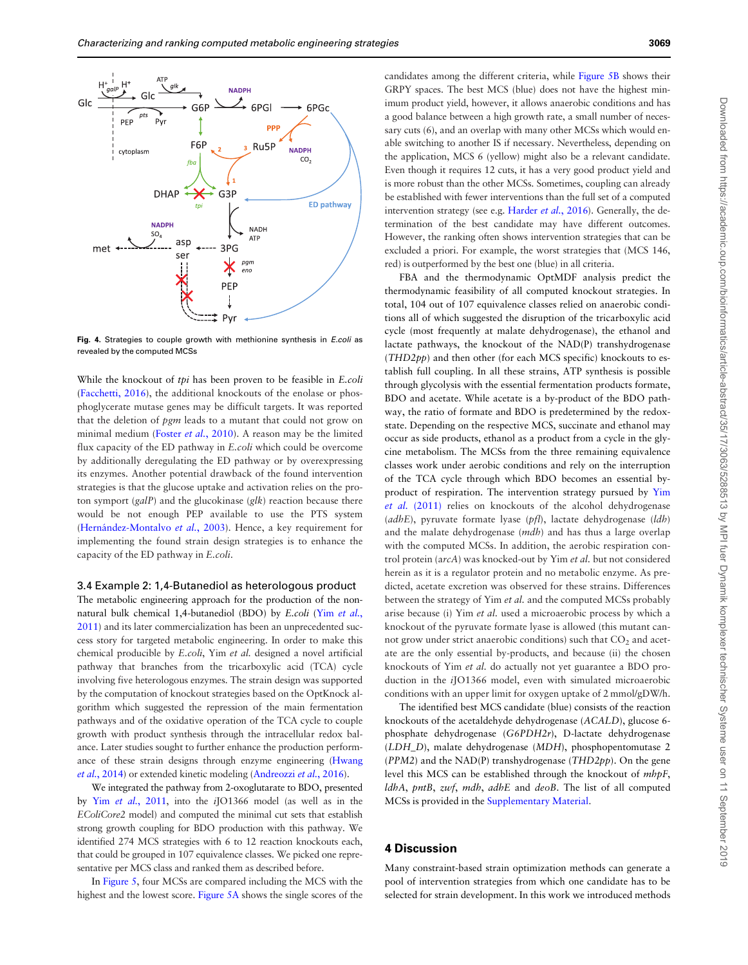<span id="page-6-0"></span>

Fig. 4. Strategies to couple growth with methionine synthesis in *E.coli* as revealed by the computed MCSs

While the knockout of tpi has been proven to be feasible in E.coli ([Facchetti, 2016\)](#page-8-0), the additional knockouts of the enolase or phosphoglycerate mutase genes may be difficult targets. It was reported that the deletion of *pgm* leads to a mutant that could not grow on minimal medium (Foster et al.[, 2010\)](#page-8-0). A reason may be the limited flux capacity of the ED pathway in E.coli which could be overcome by additionally deregulating the ED pathway or by overexpressing its enzymes. Another potential drawback of the found intervention strategies is that the glucose uptake and activation relies on the proton symport  $(galP)$  and the glucokinase  $(glk)$  reaction because there would be not enough PEP available to use the PTS system (Hernández-Montalvo et al., 2003). Hence, a key requirement for implementing the found strain design strategies is to enhance the capacity of the ED pathway in E.coli.

# 3.4 Example 2: 1,4-Butanediol as heterologous product

The metabolic engineering approach for the production of the nonnatural bulk chemical 1,4-butanediol (BDO) by E.coli (Yim [et al.](#page-9-0), [2011](#page-9-0)) and its later commercialization has been an unprecedented success story for targeted metabolic engineering. In order to make this chemical producible by E.coli, Yim et al. designed a novel artificial pathway that branches from the tricarboxylic acid (TCA) cycle involving five heterologous enzymes. The strain design was supported by the computation of knockout strategies based on the OptKnock algorithm which suggested the repression of the main fermentation pathways and of the oxidative operation of the TCA cycle to couple growth with product synthesis through the intracellular redox balance. Later studies sought to further enhance the production performance of these strain designs through enzyme engineering [\(Hwang](#page-8-0) et al.[, 2014\)](#page-8-0) or extended kinetic modeling [\(Andreozzi](#page-8-0) et al., 2016).

We integrated the pathway from 2-oxoglutarate to BDO, presented by Yim et al.[, 2011](#page-9-0), into the iJO1366 model (as well as in the EColiCore2 model) and computed the minimal cut sets that establish strong growth coupling for BDO production with this pathway. We identified 274 MCS strategies with 6 to 12 reaction knockouts each, that could be grouped in 107 equivalence classes. We picked one representative per MCS class and ranked them as described before.

In [Figure 5,](#page-7-0) four MCSs are compared including the MCS with the highest and the lowest score. [Figure 5A](#page-7-0) shows the single scores of the

candidates among the different criteria, while [Figure 5B](#page-7-0) shows their GRPY spaces. The best MCS (blue) does not have the highest minimum product yield, however, it allows anaerobic conditions and has a good balance between a high growth rate, a small number of necessary cuts (6), and an overlap with many other MCSs which would enable switching to another IS if necessary. Nevertheless, depending on the application, MCS 6 (yellow) might also be a relevant candidate. Even though it requires 12 cuts, it has a very good product yield and is more robust than the other MCSs. Sometimes, coupling can already be established with fewer interventions than the full set of a computed intervention strategy (see e.g. [Harder](#page-8-0) et al., 2016). Generally, the determination of the best candidate may have different outcomes. However, the ranking often shows intervention strategies that can be excluded a priori. For example, the worst strategies that (MCS 146, red) is outperformed by the best one (blue) in all criteria.

FBA and the thermodynamic OptMDF analysis predict the thermodynamic feasibility of all computed knockout strategies. In total, 104 out of 107 equivalence classes relied on anaerobic conditions all of which suggested the disruption of the tricarboxylic acid cycle (most frequently at malate dehydrogenase), the ethanol and lactate pathways, the knockout of the NAD(P) transhydrogenase (THD2pp) and then other (for each MCS specific) knockouts to establish full coupling. In all these strains, ATP synthesis is possible through glycolysis with the essential fermentation products formate, BDO and acetate. While acetate is a by-product of the BDO pathway, the ratio of formate and BDO is predetermined by the redoxstate. Depending on the respective MCS, succinate and ethanol may occur as side products, ethanol as a product from a cycle in the glycine metabolism. The MCSs from the three remaining equivalence classes work under aerobic conditions and rely on the interruption of the TCA cycle through which BDO becomes an essential byproduct of respiration. The intervention strategy pursued by [Yim](#page-9-0) et al. [\(2011\)](#page-9-0) relies on knockouts of the alcohol dehydrogenase ( $adb$ E), pyruvate formate lyase ( $pfl$ ), lactate dehydrogenase ( $ldb$ ) and the malate dehydrogenase (mdh) and has thus a large overlap with the computed MCSs. In addition, the aerobic respiration control protein (arcA) was knocked-out by Yim et al. but not considered herein as it is a regulator protein and no metabolic enzyme. As predicted, acetate excretion was observed for these strains. Differences between the strategy of Yim et al. and the computed MCSs probably arise because (i) Yim et al. used a microaerobic process by which a knockout of the pyruvate formate lyase is allowed (this mutant cannot grow under strict anaerobic conditions) such that  $CO<sub>2</sub>$  and acetate are the only essential by-products, and because (ii) the chosen knockouts of Yim et al. do actually not yet guarantee a BDO production in the iJO1366 model, even with simulated microaerobic conditions with an upper limit for oxygen uptake of 2 mmol/gDW/h.

The identified best MCS candidate (blue) consists of the reaction knockouts of the acetaldehyde dehydrogenase (ACALD), glucose 6 phosphate dehydrogenase (G6PDH2r), D-lactate dehydrogenase (LDH\_D), malate dehydrogenase (MDH), phosphopentomutase 2 ( $PPM2$ ) and the NAD(P) transhydrogenase ( $THD2pp$ ). On the gene level this MCS can be established through the knockout of mhpF, ldhA, pntB, zwf, mdh, adhE and deoB. The list of all computed MCSs is provided in the [Supplementary Material](https://academic.oup.com/bioinformatics/article-lookup/doi/10.1093/bioinformatics/bty1065#supplementary-data).

#### 4 Discussion

Many constraint-based strain optimization methods can generate a pool of intervention strategies from which one candidate has to be selected for strain development. In this work we introduced methods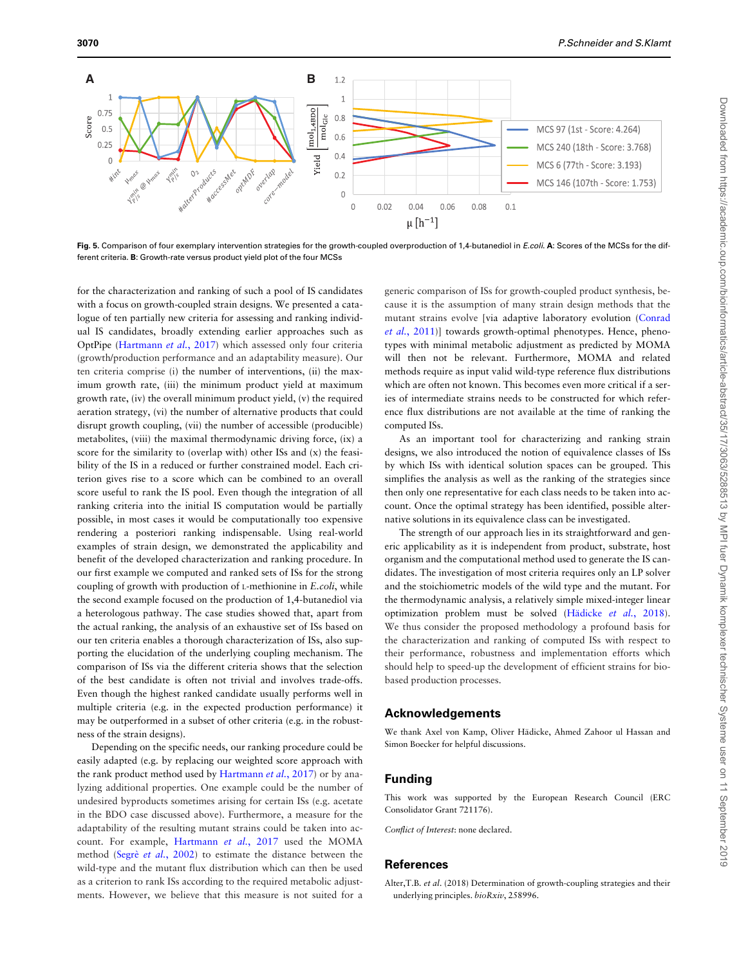<span id="page-7-0"></span>

Fig. 5. Comparison of four exemplary intervention strategies for the growth-coupled overproduction of 1,4-butanediol in E.coli. A: Scores of the MCSs for the different criteria. B: Growth-rate versus product yield plot of the four MCSs

for the characterization and ranking of such a pool of IS candidates with a focus on growth-coupled strain designs. We presented a catalogue of ten partially new criteria for assessing and ranking individual IS candidates, broadly extending earlier approaches such as OptPipe [\(Hartmann](#page-8-0) et al., 2017) which assessed only four criteria (growth/production performance and an adaptability measure). Our ten criteria comprise (i) the number of interventions, (ii) the maximum growth rate, (iii) the minimum product yield at maximum growth rate, (iv) the overall minimum product yield, (v) the required aeration strategy, (vi) the number of alternative products that could disrupt growth coupling, (vii) the number of accessible (producible) metabolites, (viii) the maximal thermodynamic driving force, (ix) a score for the similarity to (overlap with) other ISs and (x) the feasibility of the IS in a reduced or further constrained model. Each criterion gives rise to a score which can be combined to an overall score useful to rank the IS pool. Even though the integration of all ranking criteria into the initial IS computation would be partially possible, in most cases it would be computationally too expensive rendering a posteriori ranking indispensable. Using real-world examples of strain design, we demonstrated the applicability and benefit of the developed characterization and ranking procedure. In our first example we computed and ranked sets of ISs for the strong coupling of growth with production of L-methionine in E.coli, while the second example focused on the production of 1,4-butanediol via a heterologous pathway. The case studies showed that, apart from the actual ranking, the analysis of an exhaustive set of ISs based on our ten criteria enables a thorough characterization of ISs, also supporting the elucidation of the underlying coupling mechanism. The comparison of ISs via the different criteria shows that the selection of the best candidate is often not trivial and involves trade-offs. Even though the highest ranked candidate usually performs well in multiple criteria (e.g. in the expected production performance) it may be outperformed in a subset of other criteria (e.g. in the robustness of the strain designs).

Depending on the specific needs, our ranking procedure could be easily adapted (e.g. by replacing our weighted score approach with the rank product method used by [Hartmann](#page-8-0) *et al.*, 2017) or by analyzing additional properties. One example could be the number of undesired byproducts sometimes arising for certain ISs (e.g. acetate in the BDO case discussed above). Furthermore, a measure for the adaptability of the resulting mutant strains could be taken into account. For example, [Hartmann](#page-8-0) et al., 2017 used the MOMA method (Segrè et al.[, 2002](#page-8-0)) to estimate the distance between the wild-type and the mutant flux distribution which can then be used as a criterion to rank ISs according to the required metabolic adjustments. However, we believe that this measure is not suited for a

generic comparison of ISs for growth-coupled product synthesis, because it is the assumption of many strain design methods that the mutant strains evolve [via adaptive laboratory evolution [\(Conrad](#page-8-0) et al.[, 2011](#page-8-0))] towards growth-optimal phenotypes. Hence, phenotypes with minimal metabolic adjustment as predicted by MOMA will then not be relevant. Furthermore, MOMA and related methods require as input valid wild-type reference flux distributions which are often not known. This becomes even more critical if a series of intermediate strains needs to be constructed for which reference flux distributions are not available at the time of ranking the computed ISs.

As an important tool for characterizing and ranking strain designs, we also introduced the notion of equivalence classes of ISs by which ISs with identical solution spaces can be grouped. This simplifies the analysis as well as the ranking of the strategies since then only one representative for each class needs to be taken into account. Once the optimal strategy has been identified, possible alternative solutions in its equivalence class can be investigated.

The strength of our approach lies in its straightforward and generic applicability as it is independent from product, substrate, host organism and the computational method used to generate the IS candidates. The investigation of most criteria requires only an LP solver and the stoichiometric models of the wild type and the mutant. For the thermodynamic analysis, a relatively simple mixed-integer linear optimization problem must be solved (Hädicke et al., 2018). We thus consider the proposed methodology a profound basis for the characterization and ranking of computed ISs with respect to their performance, robustness and implementation efforts which should help to speed-up the development of efficient strains for biobased production processes.

# Acknowledgements

We thank Axel von Kamp, Oliver Hädicke, Ahmed Zahoor ul Hassan and Simon Boecker for helpful discussions.

# Funding

This work was supported by the European Research Council (ERC Consolidator Grant 721176).

Conflict of Interest: none declared.

# References

Alter,T.B. et al. (2018) Determination of growth-coupling strategies and their underlying principles. bioRxiv, 258996.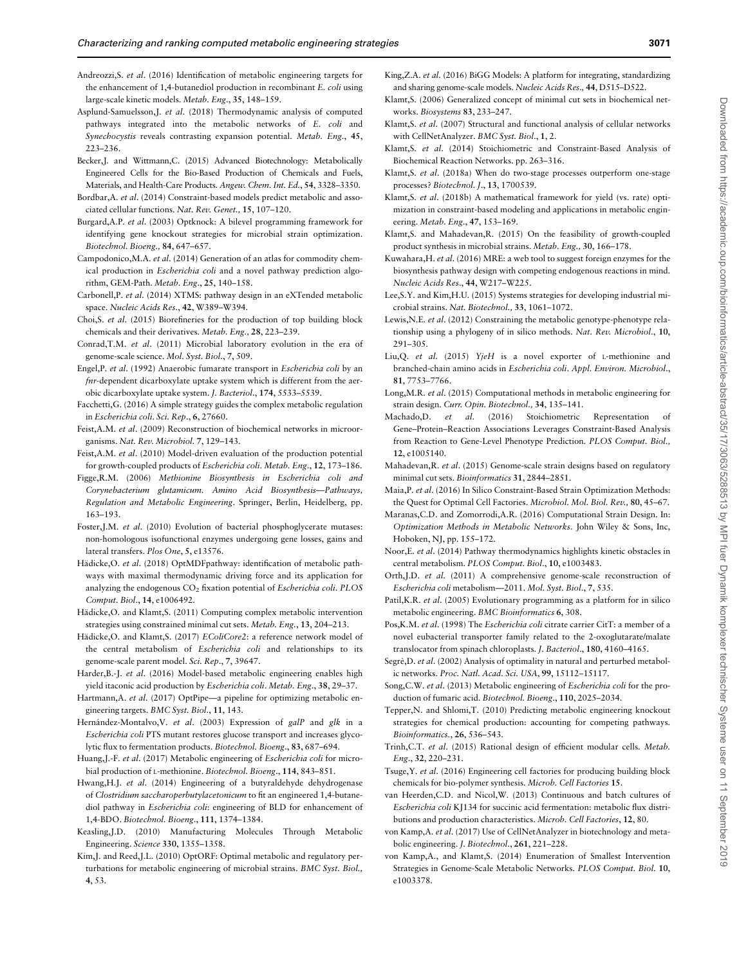- <span id="page-8-0"></span>Andreozzi,S. et al. (2016) Identification of metabolic engineering targets for the enhancement of 1,4-butanediol production in recombinant E. coli using large-scale kinetic models. Metab. Eng., 35, 148–159.
- Asplund-Samuelsson,J. et al. (2018) Thermodynamic analysis of computed pathways integrated into the metabolic networks of E. coli and Synechocystis reveals contrasting expansion potential. Metab. Eng., 45, 223–236.
- Becker,J. and Wittmann,C. (2015) Advanced Biotechnology: Metabolically Engineered Cells for the Bio-Based Production of Chemicals and Fuels, Materials, and Health-Care Products. Angew. Chem. Int. Ed., 54, 3328–3350.
- Bordbar,A. et al. (2014) Constraint-based models predict metabolic and associated cellular functions. Nat. Rev. Genet., 15, 107–120.
- Burgard,A.P. et al. (2003) Optknock: A bilevel programming framework for identifying gene knockout strategies for microbial strain optimization. Biotechnol. Bioeng., 84, 647–657.
- Campodonico,M.A. et al. (2014) Generation of an atlas for commodity chemical production in Escherichia coli and a novel pathway prediction algorithm, GEM-Path. Metab. Eng., 25, 140–158.
- Carbonell,P. et al. (2014) XTMS: pathway design in an eXTended metabolic space. Nucleic Acids Res., 42, W389–W394.
- Choi,S. et al. (2015) Biorefineries for the production of top building block chemicals and their derivatives. Metab. Eng., 28, 223–239.
- Conrad,T.M. et al. (2011) Microbial laboratory evolution in the era of genome-scale science. Mol. Syst. Biol., 7, 509.
- Engel,P. et al. (1992) Anaerobic fumarate transport in Escherichia coli by an fnr-dependent dicarboxylate uptake system which is different from the aerobic dicarboxylate uptake system. J. Bacteriol., 174, 5533–5539.
- Facchetti,G. (2016) A simple strategy guides the complex metabolic regulation in Escherichia coli. Sci. Rep., 6, 27660.
- Feist,A.M. et al. (2009) Reconstruction of biochemical networks in microorganisms. Nat. Rev. Microbiol. 7, 129–143.
- Feist,A.M. et al. (2010) Model-driven evaluation of the production potential for growth-coupled products of Escherichia coli. Metab. Eng., 12, 173–186.
- Figge,R.M. (2006) Methionine Biosynthesis in Escherichia coli and Corynebacterium glutamicum. Amino Acid Biosynthesis—Pathways, Regulation and Metabolic Engineering. Springer, Berlin, Heidelberg, pp. 163–193.
- Foster,J.M. et al. (2010) Evolution of bacterial phosphoglycerate mutases: non-homologous isofunctional enzymes undergoing gene losses, gains and lateral transfers. Plos One, 5, e13576.
- Hädicke, O. et al. (2018) OptMDFpathway: identification of metabolic pathways with maximal thermodynamic driving force and its application for analyzing the endogenous  $CO<sub>2</sub>$  fixation potential of Escherichia coli. PLOS Comput. Biol., 14, e1006492.
- Hädicke, O. and Klamt, S. (2011) Computing complex metabolic intervention strategies using constrained minimal cut sets. Metab. Eng., 13, 204–213.
- Hädicke, O. and Klamt, S. (2017) EColiCore2: a reference network model of the central metabolism of Escherichia coli and relationships to its genome-scale parent model. Sci. Rep., 7, 39647.
- Harder,B.-J. et al. (2016) Model-based metabolic engineering enables high yield itaconic acid production by Escherichia coli. Metab. Eng., 38, 29–37.
- Hartmann, A. et al. (2017) OptPipe—a pipeline for optimizing metabolic engineering targets. BMC Syst. Biol., 11, 143.
- Hernández-Montalvo, V. et al. (2003) Expression of galP and glk in a Escherichia coli PTS mutant restores glucose transport and increases glycolytic flux to fermentation products. Biotechnol. Bioeng., 83, 687–694.
- Huang,J.-F. et al. (2017) Metabolic engineering of Escherichia coli for microbial production of L-methionine. Biotechnol. Bioeng., 114, 843–851.
- Hwang,H.J. et al. (2014) Engineering of a butyraldehyde dehydrogenase of Clostridium saccharoperbutylacetonicum to fit an engineered 1,4-butanediol pathway in Escherichia coli: engineering of BLD for enhancement of 1,4-BDO. Biotechnol. Bioeng., 111, 1374–1384.
- Keasling,J.D. (2010) Manufacturing Molecules Through Metabolic Engineering. Science 330, 1355–1358.
- Kim,J. and Reed,J.L. (2010) OptORF: Optimal metabolic and regulatory perturbations for metabolic engineering of microbial strains. BMC Syst. Biol., 4, 53.
- King,Z.A. et al. (2016) BiGG Models: A platform for integrating, standardizing and sharing genome-scale models. Nucleic Acids Res., 44, D515–D522.
- Klamt,S. (2006) Generalized concept of minimal cut sets in biochemical networks. Biosystems 83, 233–247.
- Klamt,S. et al. (2007) Structural and functional analysis of cellular networks with CellNetAnalyzer. BMC Syst. Biol., 1, 2.
- Klamt,S. et al. (2014) Stoichiometric and Constraint-Based Analysis of Biochemical Reaction Networks. pp. 263–316.
- Klamt,S. et al. (2018a) When do two-stage processes outperform one-stage processes? Biotechnol. J., 13, 1700539.
- Klamt,S. et al. (2018b) A mathematical framework for yield (vs. rate) optimization in constraint-based modeling and applications in metabolic engineering. Metab. Eng., 47, 153–169.
- Klamt,S. and Mahadevan,R. (2015) On the feasibility of growth-coupled product synthesis in microbial strains. Metab. Eng., 30, 166–178.
- Kuwahara,H. et al. (2016) MRE: a web tool to suggest foreign enzymes for the biosynthesis pathway design with competing endogenous reactions in mind. Nucleic Acids Res., 44, W217–W225.
- Lee,S.Y. and Kim,H.U. (2015) Systems strategies for developing industrial microbial strains. Nat. Biotechnol., 33, 1061–1072.
- Lewis,N.E. et al. (2012) Constraining the metabolic genotype-phenotype relationship using a phylogeny of in silico methods. Nat. Rev. Microbiol., 10, 291–305.
- Liu,Q. et al. (2015) YjeH is a novel exporter of L-methionine and branched-chain amino acids in Escherichia coli. Appl. Environ. Microbiol., 81, 7753–7766.
- Long,M.R. et al. (2015) Computational methods in metabolic engineering for strain design. Curr. Opin. Biotechnol., 34, 135–141.
- Machado,D. et al. (2016) Stoichiometric Representation of Gene–Protein–Reaction Associations Leverages Constraint-Based Analysis from Reaction to Gene-Level Phenotype Prediction. PLOS Comput. Biol., 12, e1005140.
- Mahadevan,R. et al. (2015) Genome-scale strain designs based on regulatory minimal cut sets. Bioinformatics 31, 2844–2851.
- Maia,P. et al. (2016) In Silico Constraint-Based Strain Optimization Methods: the Quest for Optimal Cell Factories. Microbiol. Mol. Biol. Rev., 80, 45–67.
- Maranas,C.D. and Zomorrodi,A.R. (2016) Computational Strain Design. In: Optimization Methods in Metabolic Networks. John Wiley & Sons, Inc, Hoboken, NJ, pp. 155–172.
- Noor,E. et al. (2014) Pathway thermodynamics highlights kinetic obstacles in central metabolism. PLOS Comput. Biol., 10, e1003483.
- Orth,J.D. et al. (2011) A comprehensive genome-scale reconstruction of Escherichia coli metabolism—2011. Mol. Syst. Biol., 7, 535.
- Patil,K.R. et al. (2005) Evolutionary programming as a platform for in silico metabolic engineering. BMC Bioinformatics 6, 308.
- Pos,K.M. et al. (1998) The Escherichia coli citrate carrier CitT: a member of a novel eubacterial transporter family related to the 2-oxoglutarate/malate translocator from spinach chloroplasts. J. Bacteriol., 180, 4160–4165.
- Segrè, D. et al. (2002) Analysis of optimality in natural and perturbed metabolic networks. Proc. Natl. Acad. Sci. USA, 99, 15112–15117.
- Song,C.W. et al. (2013) Metabolic engineering of Escherichia coli for the production of fumaric acid. Biotechnol. Bioeng., 110, 2025–2034.
- Tepper,N. and Shlomi,T. (2010) Predicting metabolic engineering knockout strategies for chemical production: accounting for competing pathways. Bioinformatics., 26, 536–543.
- Trinh,C.T. et al. (2015) Rational design of efficient modular cells. Metab. Eng., 32, 220–231.
- Tsuge,Y. et al. (2016) Engineering cell factories for producing building block chemicals for bio-polymer synthesis. Microb. Cell Factories 15.
- van Heerden,C.D. and Nicol,W. (2013) Continuous and batch cultures of Escherichia coli KJ134 for succinic acid fermentation: metabolic flux distributions and production characteristics. Microb. Cell Factories, 12, 80.
- von Kamp,A. et al. (2017) Use of CellNetAnalyzer in biotechnology and metabolic engineering. J. Biotechnol., 261, 221–228.
- von Kamp,A., and Klamt,S. (2014) Enumeration of Smallest Intervention Strategies in Genome-Scale Metabolic Networks. PLOS Comput. Biol. 10, e1003378.